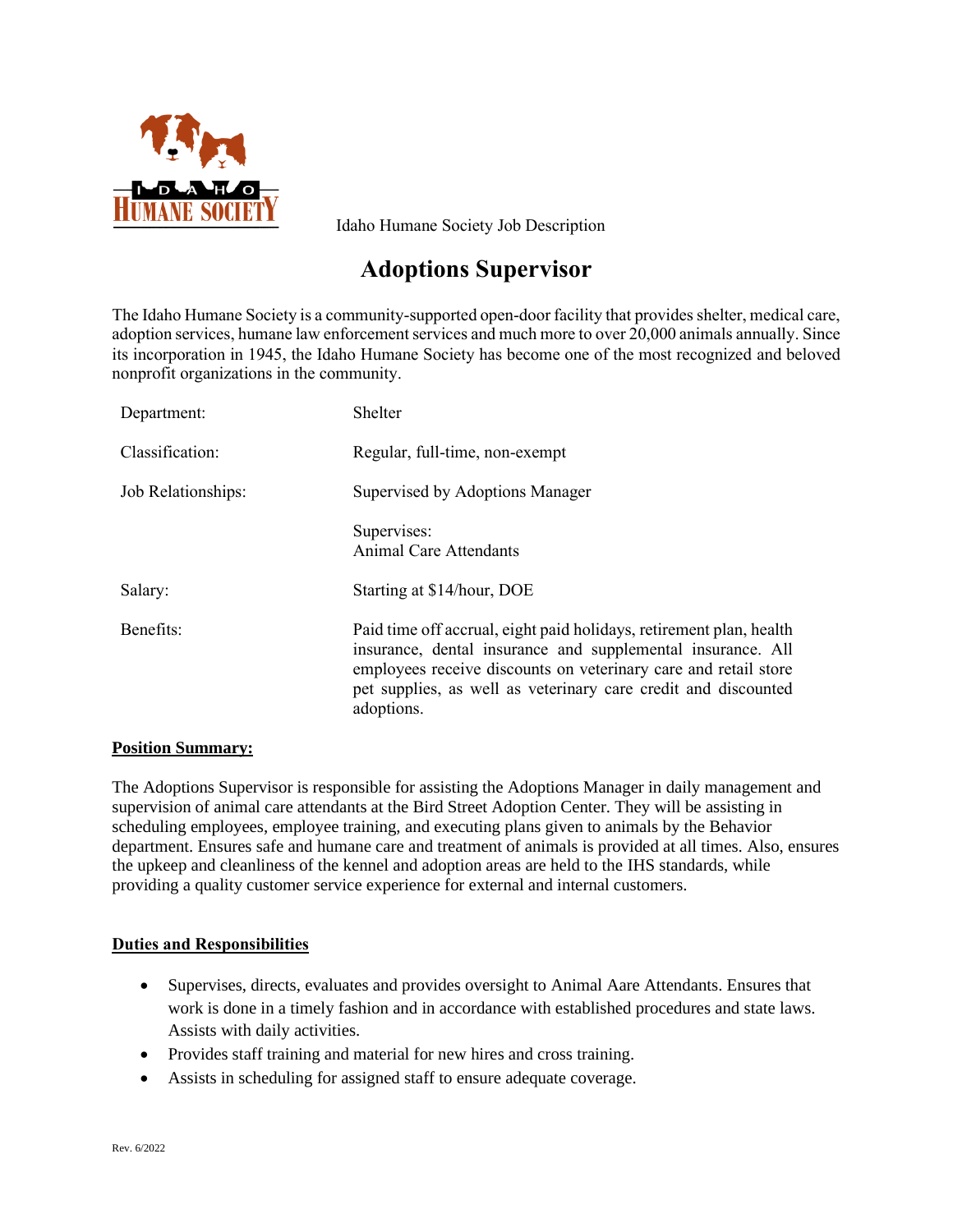

Idaho Humane Society Job Description

# **Adoptions Supervisor**

The Idaho Humane Society is a community-supported open-door facility that provides shelter, medical care, adoption services, humane law enforcement services and much more to over 20,000 animals annually. Since its incorporation in 1945, the Idaho Humane Society has become one of the most recognized and beloved nonprofit organizations in the community.

| Department:        | Shelter                                                                                                                                                                                                                                                                               |
|--------------------|---------------------------------------------------------------------------------------------------------------------------------------------------------------------------------------------------------------------------------------------------------------------------------------|
| Classification:    | Regular, full-time, non-exempt                                                                                                                                                                                                                                                        |
| Job Relationships: | Supervised by Adoptions Manager                                                                                                                                                                                                                                                       |
|                    | Supervises:<br>Animal Care Attendants                                                                                                                                                                                                                                                 |
| Salary:            | Starting at \$14/hour, DOE                                                                                                                                                                                                                                                            |
| Benefits:          | Paid time off accrual, eight paid holidays, retirement plan, health<br>insurance, dental insurance and supplemental insurance. All<br>employees receive discounts on veterinary care and retail store<br>pet supplies, as well as veterinary care credit and discounted<br>adoptions. |

# **Position Summary:**

The Adoptions Supervisor is responsible for assisting the Adoptions Manager in daily management and supervision of animal care attendants at the Bird Street Adoption Center. They will be assisting in scheduling employees, employee training, and executing plans given to animals by the Behavior department. Ensures safe and humane care and treatment of animals is provided at all times. Also, ensures the upkeep and cleanliness of the kennel and adoption areas are held to the IHS standards, while providing a quality customer service experience for external and internal customers.

# **Duties and Responsibilities**

- Supervises, directs, evaluates and provides oversight to Animal Aare Attendants. Ensures that work is done in a timely fashion and in accordance with established procedures and state laws. Assists with daily activities.
- Provides staff training and material for new hires and cross training.
- Assists in scheduling for assigned staff to ensure adequate coverage.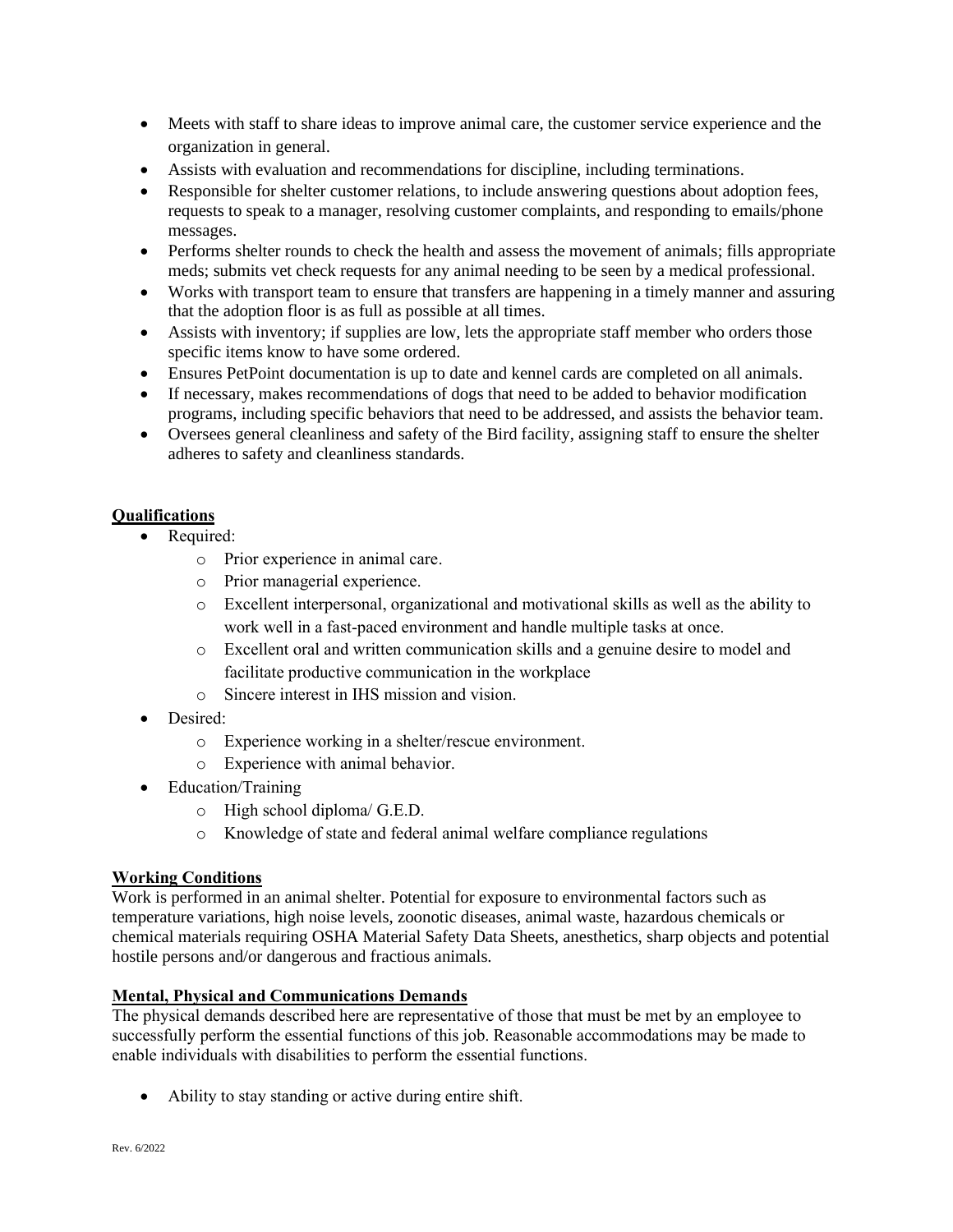- Meets with staff to share ideas to improve animal care, the customer service experience and the organization in general.
- Assists with evaluation and recommendations for discipline, including terminations.
- Responsible for shelter customer relations, to include answering questions about adoption fees, requests to speak to a manager, resolving customer complaints, and responding to emails/phone messages.
- Performs shelter rounds to check the health and assess the movement of animals; fills appropriate meds; submits vet check requests for any animal needing to be seen by a medical professional.
- Works with transport team to ensure that transfers are happening in a timely manner and assuring that the adoption floor is as full as possible at all times.
- Assists with inventory; if supplies are low, lets the appropriate staff member who orders those specific items know to have some ordered.
- Ensures PetPoint documentation is up to date and kennel cards are completed on all animals.
- If necessary, makes recommendations of dogs that need to be added to behavior modification programs, including specific behaviors that need to be addressed, and assists the behavior team.
- Oversees general cleanliness and safety of the Bird facility, assigning staff to ensure the shelter adheres to safety and cleanliness standards.

# **Qualifications**

- Required:
	- o Prior experience in animal care.
	- o Prior managerial experience.
	- o Excellent interpersonal, organizational and motivational skills as well as the ability to work well in a fast-paced environment and handle multiple tasks at once.
	- o Excellent oral and written communication skills and a genuine desire to model and facilitate productive communication in the workplace
	- o Sincere interest in IHS mission and vision.
- Desired:
	- o Experience working in a shelter/rescue environment.
	- o Experience with animal behavior.
- Education/Training
	- o High school diploma/ G.E.D.
	- o Knowledge of state and federal animal welfare compliance regulations

# **Working Conditions**

Work is performed in an animal shelter. Potential for exposure to environmental factors such as temperature variations, high noise levels, zoonotic diseases, animal waste, hazardous chemicals or chemical materials requiring OSHA Material Safety Data Sheets, anesthetics, sharp objects and potential hostile persons and/or dangerous and fractious animals.

# **Mental, Physical and Communications Demands**

The physical demands described here are representative of those that must be met by an employee to successfully perform the essential functions of this job. Reasonable accommodations may be made to enable individuals with disabilities to perform the essential functions.

• Ability to stay standing or active during entire shift.